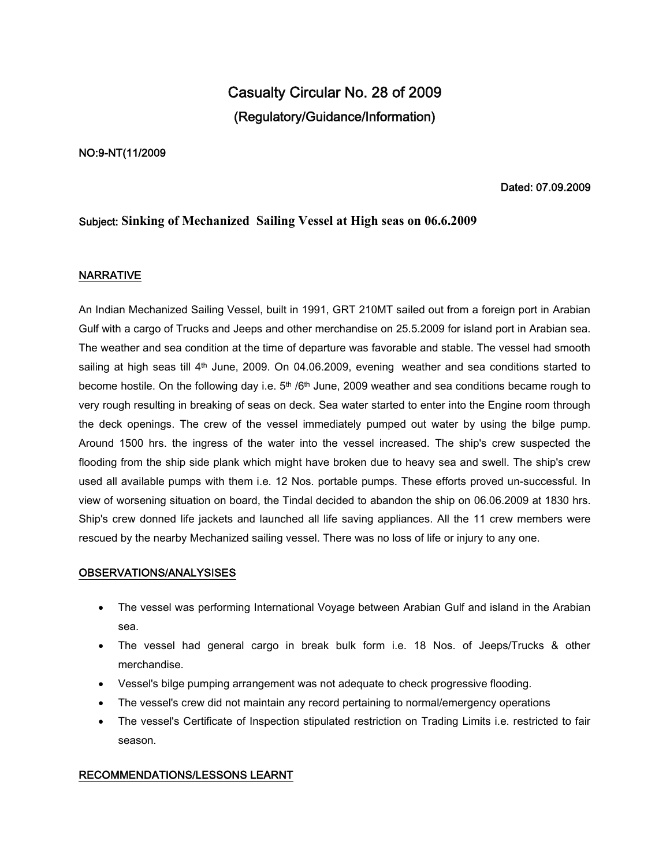# **Casualty Circular No. 28 of 2009 (Regulatory/Guidance/Information)**

## **NO:9-NT(11/2009**

## **Dated: 07.09.2009**

# **Subject: Sinking of Mechanized Sailing Vessel at High seas on 06.6.2009**

# **NARRATIVE**

An Indian Mechanized Sailing Vessel, built in 1991, GRT 210MT sailed out from a foreign port in Arabian Gulf with a cargo of Trucks and Jeeps and other merchandise on 25.5.2009 for island port in Arabian sea. The weather and sea condition at the time of departure was favorable and stable. The vessel had smooth sailing at high seas till 4<sup>th</sup> June, 2009. On 04.06.2009, evening weather and sea conditions started to become hostile. On the following day i.e.  $5<sup>th</sup> / 6<sup>th</sup>$  June, 2009 weather and sea conditions became rough to very rough resulting in breaking of seas on deck. Sea water started to enter into the Engine room through the deck openings. The crew of the vessel immediately pumped out water by using the bilge pump. Around 1500 hrs. the ingress of the water into the vessel increased. The ship's crew suspected the flooding from the ship side plank which might have broken due to heavy sea and swell. The ship's crew used all available pumps with them i.e. 12 Nos. portable pumps. These efforts proved un-successful. In view of worsening situation on board, the Tindal decided to abandon the ship on 06.06.2009 at 1830 hrs. Ship's crew donned life jackets and launched all life saving appliances. All the 11 crew members were rescued by the nearby Mechanized sailing vessel. There was no loss of life or injury to any one.

### **OBSERVATIONS/ANALYSISES**

- The vessel was performing International Voyage between Arabian Gulf and island in the Arabian sea.
- The vessel had general cargo in break bulk form i.e. 18 Nos. of Jeeps/Trucks & other merchandise.
- Vessel's bilge pumping arrangement was not adequate to check progressive flooding.
- The vessel's crew did not maintain any record pertaining to normal/emergency operations
- The vessel's Certificate of Inspection stipulated restriction on Trading Limits i.e. restricted to fair season.

### **RECOMMENDATIONS/LESSONS LEARNT**